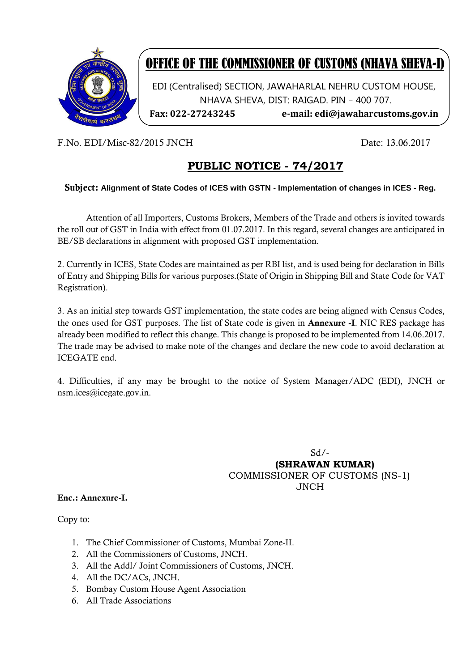

# OFFICE OF THE COMMISSIONER OF CUSTOMS (NHAVA SHEVA-I)

EDI (Centralised) SECTION, JAWAHARLAL NEHRU CUSTOM HOUSE, NHAVA SHEVA, DIST: RAIGAD. PIN – 400 707.

**Fax: 022-27243245 e-mail: edi@jawaharcustoms.gov.in**

F.No. EDI/Misc-82/2015 JNCH Date: 13.06.2017

## **PUBLIC NOTICE - 74/2017**

#### Subject: **Alignment of State Codes of ICES with GSTN - Implementation of changes in ICES - Reg.**

Attention of all Importers, Customs Brokers, Members of the Trade and others is invited towards the roll out of GST in India with effect from 01.07.2017. In this regard, several changes are anticipated in BE/SB declarations in alignment with proposed GST implementation.

2. Currently in ICES, State Codes are maintained as per RBI list, and is used being for declaration in Bills of Entry and Shipping Bills for various purposes.(State of Origin in Shipping Bill and State Code for VAT Registration).

3. As an initial step towards GST implementation, the state codes are being aligned with Census Codes, the ones used for GST purposes. The list of State code is given in Annexure -I. NIC RES package has already been modified to reflect this change. This change is proposed to be implemented from 14.06.2017. The trade may be advised to make note of the changes and declare the new code to avoid declaration at ICEGATE end.

4. Difficulties, if any may be brought to the notice of System Manager/ADC (EDI), JNCH or nsm.ices@icegate.gov.in.

 Sd/-  **(SHRAWAN KUMAR)** COMMISSIONER OF CUSTOMS (NS-1) JNCH

#### Enc.: Annexure-I.

Copy to:

- 1. The Chief Commissioner of Customs, Mumbai Zone-II.
- 2. All the Commissioners of Customs, JNCH.
- 3. All the Addl/ Joint Commissioners of Customs, JNCH.
- 4. All the DC/ACs, JNCH.
- 5. Bombay Custom House Agent Association
- 6. All Trade Associations